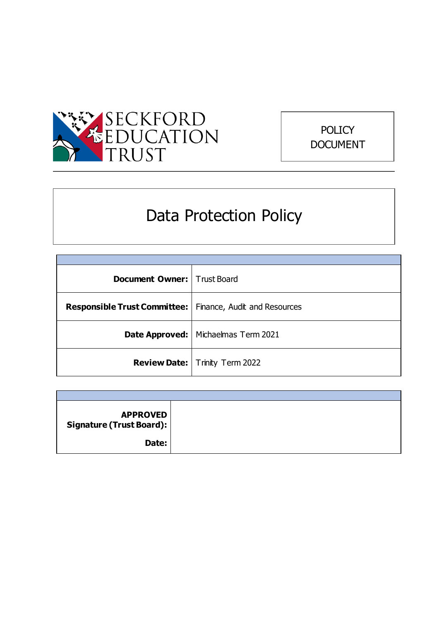

## POLICY DOCUMENT

# Data Protection Policy

| <b>Document Owner:   Trust Board</b>                               |                                              |
|--------------------------------------------------------------------|----------------------------------------------|
| <b>Responsible Trust Committee:</b>   Finance, Audit and Resources |                                              |
|                                                                    | <b>Date Approved:</b>   Michaelmas Term 2021 |
|                                                                    | <b>Review Date:   Trinity Term 2022</b>      |

| <b>APPROVED</b><br>Signature (Trust Board): |  |
|---------------------------------------------|--|
| Date:                                       |  |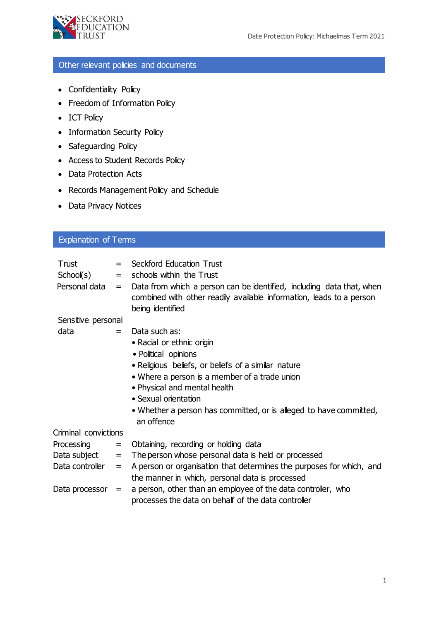

### Other relevant policies and documents

- Confidentiality Policy
- Freedom of Information Policy
- ICT Policy
- Information Security Policy
- Safeguarding Policy
- Access to Student Records Policy
- Data Protection Acts
- Records Management Policy and Schedule
- Data Privacy Notices

Explanation of Terms

| Trust                | $=$ $-$ | <b>Seckford Education Trust</b>                                                                                                                                   |
|----------------------|---------|-------------------------------------------------------------------------------------------------------------------------------------------------------------------|
| School(s)            | $=$     | schools within the Trust                                                                                                                                          |
| Personal data        | $=$     | Data from which a person can be identified, including data that, when<br>combined with other readily available information, leads to a person<br>being identified |
| Sensitive personal   |         |                                                                                                                                                                   |
| data                 | $=$     | Data such as:                                                                                                                                                     |
|                      |         | • Racial or ethnic origin                                                                                                                                         |
|                      |         | • Political opinions                                                                                                                                              |
|                      |         | • Religious beliefs, or beliefs of a similar nature                                                                                                               |
|                      |         | • Where a person is a member of a trade union                                                                                                                     |
|                      |         | • Physical and mental health                                                                                                                                      |
|                      |         | • Sexual orientation                                                                                                                                              |
|                      |         | • Whether a person has committed, or is alleged to have committed,<br>an offence                                                                                  |
| Criminal convictions |         |                                                                                                                                                                   |
| Processing           | $=$     | Obtaining, recording or holding data                                                                                                                              |
| Data subject         | $=$     | The person whose personal data is held or processed                                                                                                               |
| Data controller      | $=$     | A person or organisation that determines the purposes for which, and<br>the manner in which, personal data is processed                                           |
| Data processor       | $=$     | a person, other than an employee of the data controller, who<br>processes the data on behalf of the data controller                                               |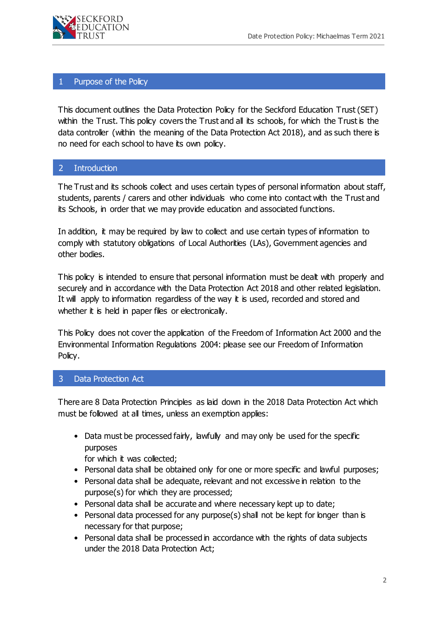

#### 1 Purpose of the Policy

This document outlines the Data Protection Policy for the Seckford Education Trust (SET) within the Trust. This policy covers the Trust and all its schools, for which the Trust is the data controller (within the meaning of the Data Protection Act 2018), and as such there is no need for each school to have its own policy.

#### 2 Introduction

The Trust and its schools collect and uses certain types of personal information about staff, students, parents / carers and other individuals who come into contact with the Trust and its Schools, in order that we may provide education and associated functions.

In addition, it may be required by law to collect and use certain types of information to comply with statutory obligations of Local Authorities (LAs), Government agencies and other bodies.

This policy is intended to ensure that personal information must be dealt with properly and securely and in accordance with the Data Protection Act 2018 and other related legislation. It will apply to information regardless of the way it is used, recorded and stored and whether it is held in paper files or electronically.

This Policy does not cover the application of the Freedom of Information Act 2000 and the Environmental Information Regulations 2004: please see our Freedom of Information Policy.

#### 3 Data Protection Act

There are 8 Data Protection Principles as laid down in the 2018 Data Protection Act which must be followed at all times, unless an exemption applies:

• Data must be processed fairly, lawfully and may only be used for the specific purposes

for which it was collected;

- Personal data shall be obtained only for one or more specific and lawful purposes;
- Personal data shall be adequate, relevant and not excessive in relation to the purpose(s) for which they are processed;
- Personal data shall be accurate and where necessary kept up to date;
- Personal data processed for any purpose(s) shall not be kept for longer than is necessary for that purpose;
- Personal data shall be processed in accordance with the rights of data subjects under the 2018 Data Protection Act;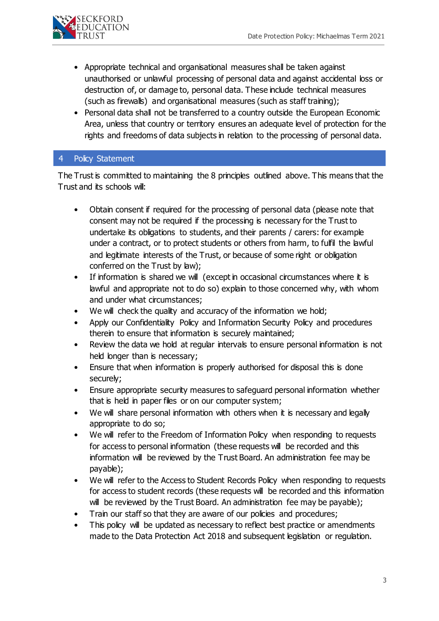

- Appropriate technical and organisational measures shall be taken against unauthorised or unlawful processing of personal data and against accidental loss or destruction of, or damage to, personal data. These include technical measures (such as firewalls) and organisational measures (such as staff training);
- Personal data shall not be transferred to a country outside the European Economic Area, unless that country or territory ensures an adequate level of protection for the rights and freedoms of data subjects in relation to the processing of personal data.

#### 4 Policy Statement

The Trust is committed to maintaining the 8 principles outlined above. This means that the Trust and its schools will:

- Obtain consent if required for the processing of personal data (please note that consent may not be required if the processing is necessary for the Trust to undertake its obligations to students, and their parents / carers: for example under a contract, or to protect students or others from harm, to fulfil the lawful and legitimate interests of the Trust, or because of some right or obligation conferred on the Trust by law);
- If information is shared we will (except in occasional circumstances where it is lawful and appropriate not to do so) explain to those concerned why, with whom and under what circumstances;
- We will check the quality and accuracy of the information we hold;
- Apply our Confidentiality Policy and Information Security Policy and procedures therein to ensure that information is securely maintained;
- Review the data we hold at regular intervals to ensure personal information is not held longer than is necessary;
- Ensure that when information is properly authorised for disposal this is done securely;
- Ensure appropriate security measures to safeguard personal information whether that is held in paper files or on our computer system;
- We will share personal information with others when it is necessary and legally appropriate to do so;
- We will refer to the Freedom of Information Policy when responding to requests for access to personal information (these requests will be recorded and this information will be reviewed by the Trust Board. An administration fee may be payable);
- We will refer to the Access to Student Records Policy when responding to requests for access to student records (these requests will be recorded and this information will be reviewed by the Trust Board. An administration fee may be payable);
- Train our staff so that they are aware of our policies and procedures;
- This policy will be updated as necessary to reflect best practice or amendments made to the Data Protection Act 2018 and subsequent legislation or regulation.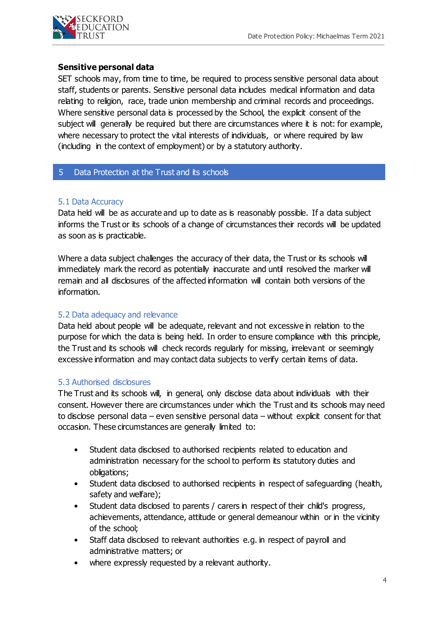

#### **Sensitive personal data**

SET schools may, from time to time, be required to process sensitive personal data about staff, students or parents. Sensitive personal data includes medical information and data relating to religion, race, trade union membership and criminal records and proceedings. Where sensitive personal data is processed by the School, the explicit consent of the subject will generally be required but there are circumstances where it is not: for example, where necessary to protect the vital interests of individuals, or where required by law (including in the context of employment) or by a statutory authority.

#### 5 Data Protection at the Trust and its schools

#### 5.1 Data Accuracy

Data held will be as accurate and up to date as is reasonably possible. If a data subject informs the Trust or its schools of a change of circumstances their records will be updated as soon as is practicable.

Where a data subject challenges the accuracy of their data, the Trust or its schools will immediately mark the record as potentially inaccurate and until resolved the marker will remain and all disclosures of the affected information will contain both versions of the information.

#### 5.2 Data adequacy and relevance

Data held about people will be adequate, relevant and not excessive in relation to the purpose for which the data is being held. In order to ensure compliance with this principle, the Trust and its schools will check records regularly for missing, irrelevant or seemingly excessive information and may contact data subjects to verify certain items of data.

#### 5.3 Authorised disclosures

The Trust and its schools will, in general, only disclose data about individuals with their consent. However there are circumstances under which the Trust and its schools may need to disclose personal data – even sensitive personal data – without explicit consent for that occasion. These circumstances are generally limited to:

- Student data disclosed to authorised recipients related to education and administration necessary for the school to perform its statutory duties and obligations;
- Student data disclosed to authorised recipients in respect of safeguarding (health, safety and welfare);
- Student data disclosed to parents / carers in respect of their child's progress, achievements, attendance, attitude or general demeanour within or in the vicinity of the school;
- Staff data disclosed to relevant authorities e.g. in respect of payroll and administrative matters; or
- where expressly requested by a relevant authority.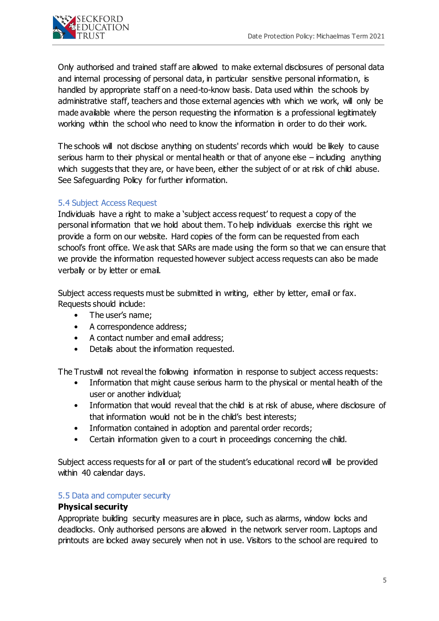

Only authorised and trained staff are allowed to make external disclosures of personal data and internal processing of personal data, in particular sensitive personal information, is handled by appropriate staff on a need-to-know basis. Data used within the schools by administrative staff, teachers and those external agencies with which we work, will only be made available where the person requesting the information is a professional legitimately working within the school who need to know the information in order to do their work.

The schools will not disclose anything on students' records which would be likely to cause serious harm to their physical or mental health or that of anyone else  $-$  including anything which suggests that they are, or have been, either the subject of or at risk of child abuse. See Safeguarding Policy for further information.

#### 5.4 Subject Access Request

Individuals have a right to make a 'subject access request' to request a copy of the personal information that we hold about them. To help individuals exercise this right we provide a form on our website. Hard copies of the form can be requested from each school's front office. We ask that SARs are made using the form so that we can ensure that we provide the information requested however subject access requests can also be made verbally or by letter or email.

Subject access requests must be submitted in writing, either by letter, email or fax. Requests should include:

- The user's name;
- A correspondence address;
- A contact number and email address;
- Details about the information requested.

The Trustwill not reveal the following information in response to subject access requests:

- Information that might cause serious harm to the physical or mental health of the user or another individual;
- Information that would reveal that the child is at risk of abuse, where disclosure of that information would not be in the child's best interests;
- Information contained in adoption and parental order records;
- Certain information given to a court in proceedings concerning the child.

Subject access requests for all or part of the student's educational record will be provided within 40 calendar days.

#### 5.5 Data and computer security

#### **Physical security**

Appropriate building security measures are in place, such as alarms, window locks and deadlocks. Only authorised persons are allowed in the network server room. Laptops and printouts are locked away securely when not in use. Visitors to the school are required to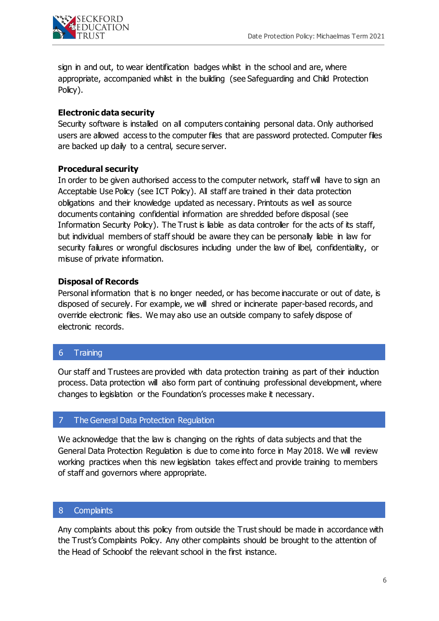

sign in and out, to wear identification badges whilst in the school and are, where appropriate, accompanied whilst in the building (see Safeguarding and Child Protection Policy).

#### **Electronic data security**

Security software is installed on all computers containing personal data. Only authorised users are allowed access to the computer files that are password protected. Computer files are backed up daily to a central, secure server.

#### **Procedural security**

In order to be given authorised access to the computer network, staff will have to sign an Acceptable Use Policy (see ICT Policy). All staff are trained in their data protection obligations and their knowledge updated as necessary. Printouts as well as source documents containing confidential information are shredded before disposal (see Information Security Policy). The Trust is liable as data controller for the acts of its staff, but individual members of staff should be aware they can be personally liable in law for security failures or wrongful disclosures including under the law of libel, confidentiality, or misuse of private information.

#### **Disposal of Records**

Personal information that is no longer needed, or has become inaccurate or out of date, is disposed of securely. For example, we will shred or incinerate paper-based records, and override electronic files. We may also use an outside company to safely dispose of electronic records.

#### 6 Training

Our staff and Trustees are provided with data protection training as part of their induction process. Data protection will also form part of continuing professional development, where changes to legislation or the Foundation's processes make it necessary.

#### 7 The General Data Protection Regulation

We acknowledge that the law is changing on the rights of data subjects and that the General Data Protection Regulation is due to come into force in May 2018. We will review working practices when this new legislation takes effect and provide training to members of staff and governors where appropriate.

#### 8 Complaints

Any complaints about this policy from outside the Trust should be made in accordance with the Trust's Complaints Policy. Any other complaints should be brought to the attention of the Head of Schoolof the relevant school in the first instance.